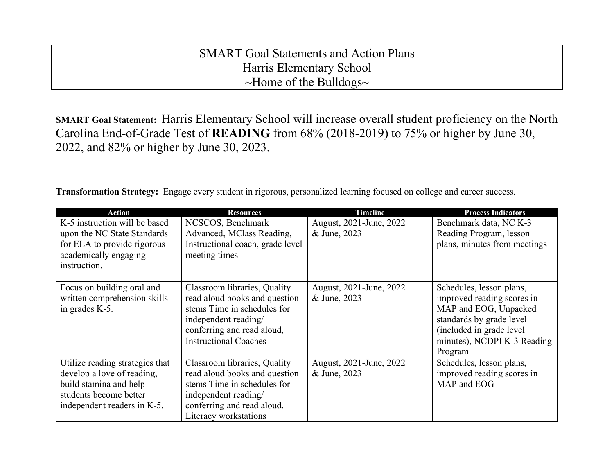## SMART Goal Statements and Action Plans Harris Elementary School ~Home of the Bulldogs~

**SMART Goal Statement:** Harris Elementary School will increase overall student proficiency on the North Carolina End-of-Grade Test of **READING** from 68% (2018-2019) to 75% or higher by June 30, 2022, and 82% or higher by June 30, 2023.

**Transformation Strategy:** Engage every student in rigorous, personalized learning focused on college and career success.

| <b>Action</b>                                                                                                                                    | <b>Resources</b>                                                                                                                                                                   | <b>Timeline</b>                         | <b>Process Indicators</b>                                                                                                                                                          |
|--------------------------------------------------------------------------------------------------------------------------------------------------|------------------------------------------------------------------------------------------------------------------------------------------------------------------------------------|-----------------------------------------|------------------------------------------------------------------------------------------------------------------------------------------------------------------------------------|
| K-5 instruction will be based<br>upon the NC State Standards<br>for ELA to provide rigorous<br>academically engaging<br>instruction.             | NCSCOS, Benchmark<br>Advanced, MClass Reading,<br>Instructional coach, grade level<br>meeting times                                                                                | August, 2021-June, 2022<br>& June, 2023 | Benchmark data, NC K-3<br>Reading Program, lesson<br>plans, minutes from meetings                                                                                                  |
| Focus on building oral and<br>written comprehension skills<br>in grades K-5.                                                                     | Classroom libraries, Quality<br>read aloud books and question<br>stems Time in schedules for<br>independent reading/<br>conferring and read aloud,<br><b>Instructional Coaches</b> | August, 2021-June, 2022<br>& June, 2023 | Schedules, lesson plans,<br>improved reading scores in<br>MAP and EOG, Unpacked<br>standards by grade level<br>(included in grade level)<br>minutes), NCDPI K-3 Reading<br>Program |
| Utilize reading strategies that<br>develop a love of reading,<br>build stamina and help<br>students become better<br>independent readers in K-5. | Classroom libraries, Quality<br>read aloud books and question<br>stems Time in schedules for<br>independent reading/<br>conferring and read aloud.<br>Literacy workstations        | August, 2021-June, 2022<br>& June, 2023 | Schedules, lesson plans,<br>improved reading scores in<br>MAP and EOG                                                                                                              |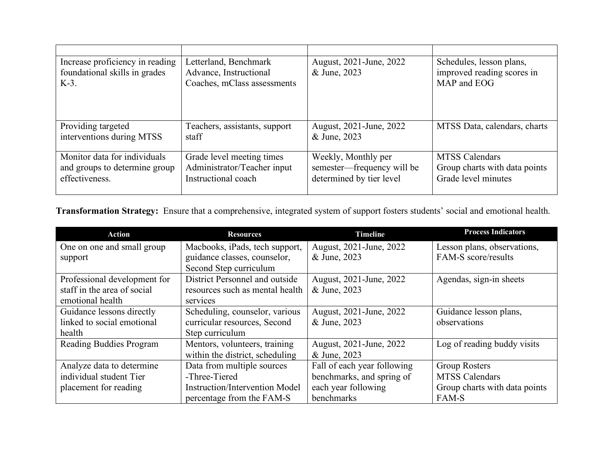| Increase proficiency in reading<br>foundational skills in grades<br>$K-3$ . | Letterland, Benchmark<br>Advance, Instructional<br>Coaches, mClass assessments | August, 2021-June, 2022<br>& June, 2023 | Schedules, lesson plans,<br>improved reading scores in<br>MAP and EOG |
|-----------------------------------------------------------------------------|--------------------------------------------------------------------------------|-----------------------------------------|-----------------------------------------------------------------------|
| Providing targeted                                                          | Teachers, assistants, support                                                  | August, 2021-June, 2022                 | MTSS Data, calendars, charts                                          |
| interventions during MTSS                                                   | staff                                                                          | & June, 2023                            |                                                                       |
| Monitor data for individuals                                                | Grade level meeting times                                                      | Weekly, Monthly per                     | <b>MTSS Calendars</b>                                                 |
| and groups to determine group                                               | Administrator/Teacher input                                                    | semester—frequency will be              | Group charts with data points                                         |
| effectiveness.                                                              | Instructional coach                                                            | determined by tier level                | Grade level minutes                                                   |

**Transformation Strategy:** Ensure that a comprehensive, integrated system of support fosters students' social and emotional health.

| <b>Action</b>                | <b>Resources</b>                      | <b>Timeline</b>             | <b>Process Indicators</b>     |
|------------------------------|---------------------------------------|-----------------------------|-------------------------------|
| One on one and small group   | Macbooks, iPads, tech support,        | August, 2021-June, 2022     | Lesson plans, observations,   |
| support                      | guidance classes, counselor,          | & June, 2023                | FAM-S score/results           |
|                              | Second Step curriculum                |                             |                               |
| Professional development for | District Personnel and outside        | August, 2021-June, 2022     | Agendas, sign-in sheets       |
| staff in the area of social  | resources such as mental health       | & June, 2023                |                               |
| emotional health             | services                              |                             |                               |
| Guidance lessons directly    | Scheduling, counselor, various        | August, 2021-June, 2022     | Guidance lesson plans,        |
| linked to social emotional   | curricular resources, Second          | & June, 2023                | observations                  |
| health                       | Step curriculum                       |                             |                               |
| Reading Buddies Program      | Mentors, volunteers, training         | August, 2021-June, 2022     | Log of reading buddy visits   |
|                              | within the district, scheduling       | & June, 2023                |                               |
| Analyze data to determine    | Data from multiple sources            | Fall of each year following | <b>Group Rosters</b>          |
| individual student Tier      | -Three-Tiered                         | benchmarks, and spring of   | <b>MTSS Calendars</b>         |
| placement for reading        | <b>Instruction/Intervention Model</b> | each year following         | Group charts with data points |
|                              | percentage from the FAM-S             | benchmarks                  | FAM-S                         |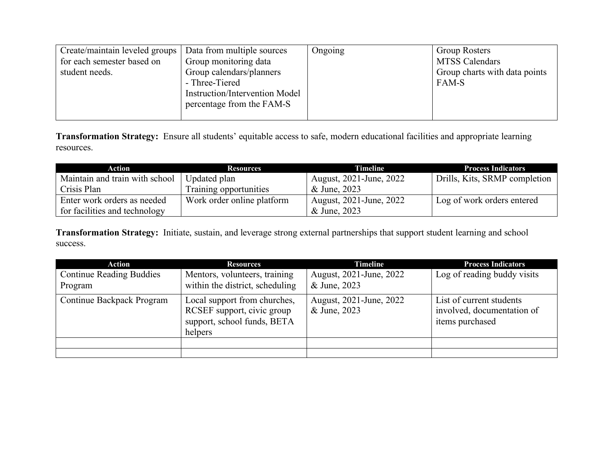| Create/maintain leveled groups<br>for each semester based on<br>student needs. | Data from multiple sources<br>Group monitoring data<br>Group calendars/planners<br>- Three-Tiered<br><b>Instruction/Intervention Model</b><br>percentage from the FAM-S | Ongoing | <b>Group Rosters</b><br><b>MTSS Calendars</b><br>Group charts with data points<br>FAM-S |
|--------------------------------------------------------------------------------|-------------------------------------------------------------------------------------------------------------------------------------------------------------------------|---------|-----------------------------------------------------------------------------------------|
|--------------------------------------------------------------------------------|-------------------------------------------------------------------------------------------------------------------------------------------------------------------------|---------|-----------------------------------------------------------------------------------------|

**Transformation Strategy:** Ensure all students' equitable access to safe, modern educational facilities and appropriate learning resources.

| Action                         | <b>Resources</b>           | Timeline                | <b>Process Indicators</b>     |
|--------------------------------|----------------------------|-------------------------|-------------------------------|
| Maintain and train with school | Updated plan               | August, 2021-June, 2022 | Drills, Kits, SRMP completion |
| Crisis Plan                    | Training opportunities     | & June, 2023            |                               |
| Enter work orders as needed    | Work order online platform | August, 2021-June, 2022 | Log of work orders entered    |
| for facilities and technology  |                            | & June, 2023            |                               |

**Transformation Strategy:** Initiate, sustain, and leverage strong external partnerships that support student learning and school success.

| <b>Action</b>                              | <b>Resources</b>                                                                                     | <b>Timeline</b>                         | <b>Process Indicators</b>                                                 |
|--------------------------------------------|------------------------------------------------------------------------------------------------------|-----------------------------------------|---------------------------------------------------------------------------|
| <b>Continue Reading Buddies</b><br>Program | Mentors, volunteers, training<br>within the district, scheduling                                     | August, 2021-June, 2022<br>& June, 2023 | Log of reading buddy visits                                               |
| Continue Backpack Program                  | Local support from churches,<br>RCSEF support, civic group<br>support, school funds, BETA<br>helpers | August, 2021-June, 2022<br>& June, 2023 | List of current students<br>involved, documentation of<br>items purchased |
|                                            |                                                                                                      |                                         |                                                                           |
|                                            |                                                                                                      |                                         |                                                                           |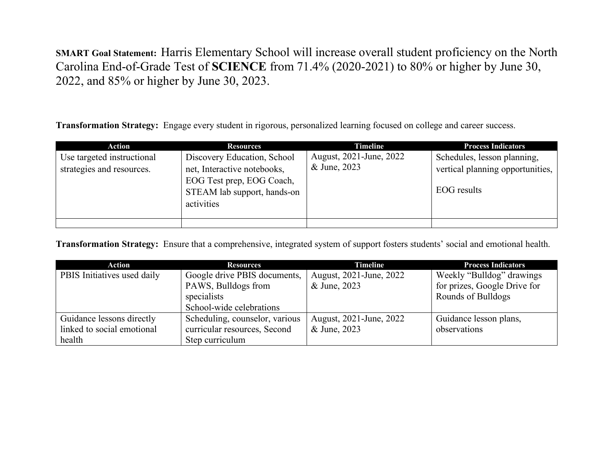**SMART Goal Statement:** Harris Elementary School will increase overall student proficiency on the North Carolina End-of-Grade Test of **SCIENCE** from 71.4% (2020-2021) to 80% or higher by June 30, 2022, and 85% or higher by June 30, 2023.

**Transformation Strategy:** Engage every student in rigorous, personalized learning focused on college and career success.

| Action                                                  | <b>Resources</b>                                                                                                                     | <b>Timeline</b>                         | <b>Process Indicators</b>                                                      |
|---------------------------------------------------------|--------------------------------------------------------------------------------------------------------------------------------------|-----------------------------------------|--------------------------------------------------------------------------------|
| Use targeted instructional<br>strategies and resources. | Discovery Education, School<br>net, Interactive notebooks,<br>EOG Test prep, EOG Coach,<br>STEAM lab support, hands-on<br>activities | August, 2021-June, 2022<br>& June, 2023 | Schedules, lesson planning,<br>vertical planning opportunities,<br>EOG results |
|                                                         |                                                                                                                                      |                                         |                                                                                |

**Transformation Strategy:** Ensure that a comprehensive, integrated system of support fosters students' social and emotional health.

| <b>Action</b>               | <b>Resources</b>               | <b>Timeline</b>         | <b>Process Indicators</b>    |
|-----------------------------|--------------------------------|-------------------------|------------------------------|
| PBIS Initiatives used daily | Google drive PBIS documents,   | August, 2021-June, 2022 | Weekly "Bulldog" drawings    |
|                             | PAWS, Bulldogs from            | & June, 2023            | for prizes, Google Drive for |
|                             | specialists                    |                         | Rounds of Bulldogs           |
|                             | School-wide celebrations       |                         |                              |
| Guidance lessons directly   | Scheduling, counselor, various | August, 2021-June, 2022 | Guidance lesson plans,       |
| linked to social emotional  | curricular resources, Second   | & June, 2023            | observations                 |
| health                      | Step curriculum                |                         |                              |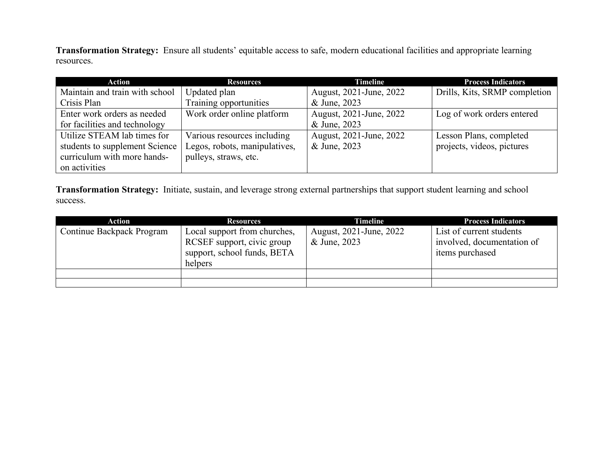**Transformation Strategy:** Ensure all students' equitable access to safe, modern educational facilities and appropriate learning resources.

| Action                         | <b>Resources</b>              | <b>Timeline</b>         | <b>Process Indicators</b>     |
|--------------------------------|-------------------------------|-------------------------|-------------------------------|
| Maintain and train with school | Updated plan                  | August, 2021-June, 2022 | Drills, Kits, SRMP completion |
| Crisis Plan                    | Training opportunities        | & June, 2023            |                               |
| Enter work orders as needed    | Work order online platform    | August, 2021-June, 2022 | Log of work orders entered    |
| for facilities and technology  |                               | & June, 2023            |                               |
| Utilize STEAM lab times for    | Various resources including   | August, 2021-June, 2022 | Lesson Plans, completed       |
| students to supplement Science | Legos, robots, manipulatives, | & June, 2023            | projects, videos, pictures    |
| curriculum with more hands-    | pulleys, straws, etc.         |                         |                               |
| on activities                  |                               |                         |                               |

**Transformation Strategy:** Initiate, sustain, and leverage strong external partnerships that support student learning and school success.

| Action                    | <b>Resources</b>                                                                                     | <b>Timeline</b>                         | <b>Process Indicators</b>                                                 |
|---------------------------|------------------------------------------------------------------------------------------------------|-----------------------------------------|---------------------------------------------------------------------------|
| Continue Backpack Program | Local support from churches,<br>RCSEF support, civic group<br>support, school funds, BETA<br>helpers | August, 2021-June, 2022<br>& June, 2023 | List of current students<br>involved, documentation of<br>items purchased |
|                           |                                                                                                      |                                         |                                                                           |
|                           |                                                                                                      |                                         |                                                                           |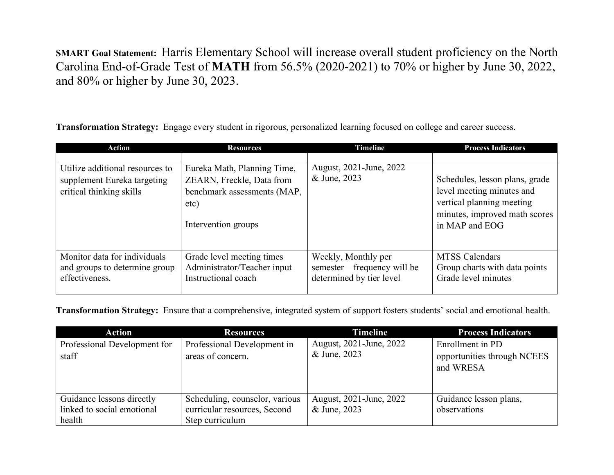**SMART Goal Statement:** Harris Elementary School will increase overall student proficiency on the North Carolina End-of-Grade Test of **MATH** from 56.5% (2020-2021) to 70% or higher by June 30, 2022, and 80% or higher by June 30, 2023.

**Transformation Strategy:** Engage every student in rigorous, personalized learning focused on college and career success.

| <b>Action</b>                                                                              | <b>Resources</b>                                                                                                       | <b>Timeline</b>                                                               | <b>Process Indicators</b>                                                                                                                   |
|--------------------------------------------------------------------------------------------|------------------------------------------------------------------------------------------------------------------------|-------------------------------------------------------------------------------|---------------------------------------------------------------------------------------------------------------------------------------------|
| Utilize additional resources to<br>supplement Eureka targeting<br>critical thinking skills | Eureka Math, Planning Time,<br>ZEARN, Freckle, Data from<br>benchmark assessments (MAP,<br>etc)<br>Intervention groups | August, 2021-June, 2022<br>& June, 2023                                       | Schedules, lesson plans, grade<br>level meeting minutes and<br>vertical planning meeting<br>minutes, improved math scores<br>in MAP and EOG |
| Monitor data for individuals<br>and groups to determine group<br>effectiveness.            | Grade level meeting times<br>Administrator/Teacher input<br>Instructional coach                                        | Weekly, Monthly per<br>semester—frequency will be<br>determined by tier level | <b>MTSS Calendars</b><br>Group charts with data points<br>Grade level minutes                                                               |

**Transformation Strategy:** Ensure that a comprehensive, integrated system of support fosters students' social and emotional health.

| <b>Action</b>                                                     | <b>Resources</b>                                                                  | <b>Timeline</b>                         | <b>Process Indicators</b>                                    |
|-------------------------------------------------------------------|-----------------------------------------------------------------------------------|-----------------------------------------|--------------------------------------------------------------|
| Professional Development for<br>staff                             | Professional Development in<br>areas of concern.                                  | August, 2021-June, 2022<br>& June, 2023 | Enrollment in PD<br>opportunities through NCEES<br>and WRESA |
| Guidance lessons directly<br>linked to social emotional<br>health | Scheduling, counselor, various<br>curricular resources, Second<br>Step curriculum | August, 2021-June, 2022<br>& June, 2023 | Guidance lesson plans,<br>observations                       |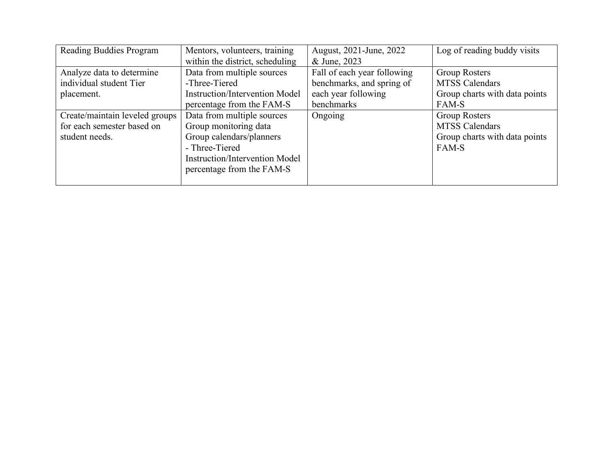| Reading Buddies Program        | Mentors, volunteers, training         | August, 2021-June, 2022     | Log of reading buddy visits   |
|--------------------------------|---------------------------------------|-----------------------------|-------------------------------|
|                                | within the district, scheduling       | & June, 2023                |                               |
| Analyze data to determine      | Data from multiple sources            | Fall of each year following | <b>Group Rosters</b>          |
| individual student Tier        | -Three-Tiered                         | benchmarks, and spring of   | <b>MTSS Calendars</b>         |
| placement.                     | <b>Instruction/Intervention Model</b> | each year following         | Group charts with data points |
|                                | percentage from the FAM-S             | benchmarks                  | FAM-S                         |
| Create/maintain leveled groups | Data from multiple sources            | Ongoing                     | Group Rosters                 |
| for each semester based on     | Group monitoring data                 |                             | <b>MTSS Calendars</b>         |
| student needs.                 | Group calendars/planners              |                             | Group charts with data points |
|                                | - Three-Tiered                        |                             | FAM-S                         |
|                                | <b>Instruction/Intervention Model</b> |                             |                               |
|                                | percentage from the FAM-S             |                             |                               |
|                                |                                       |                             |                               |